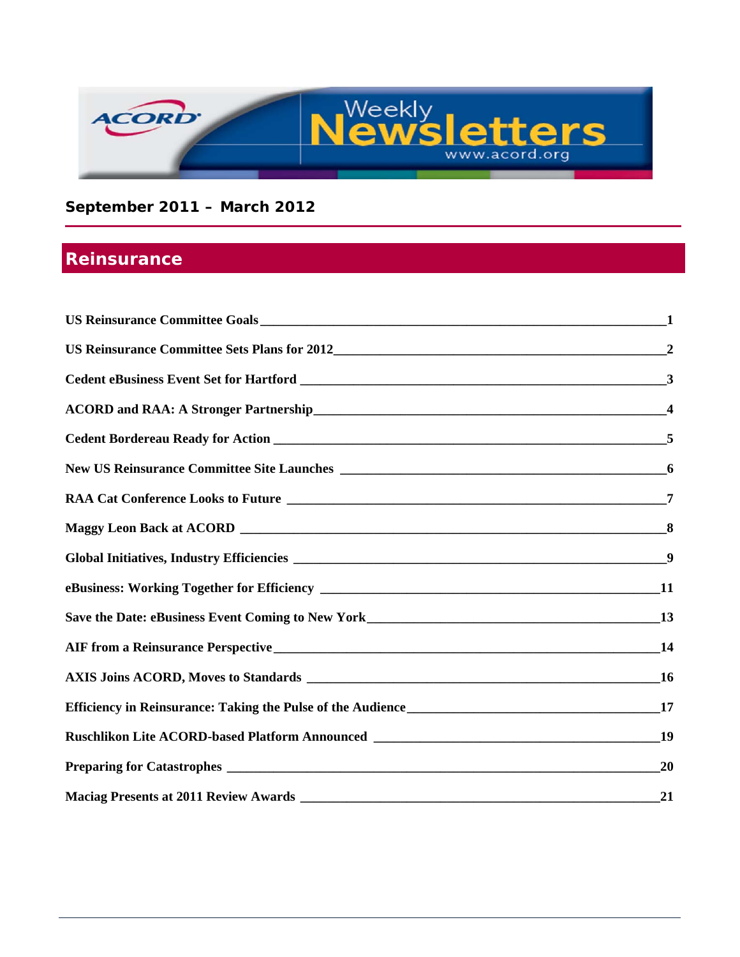

## **September 2011 – March 2012**

# **Reinsurance**

| $\overline{2}$          |
|-------------------------|
|                         |
| $\overline{4}$          |
|                         |
| $\overline{\mathbf{6}}$ |
| 7                       |
| 8                       |
|                         |
| <b>11</b>               |
|                         |
|                         |
| <b>16</b>               |
| 17                      |
|                         |
| 20                      |
| 21                      |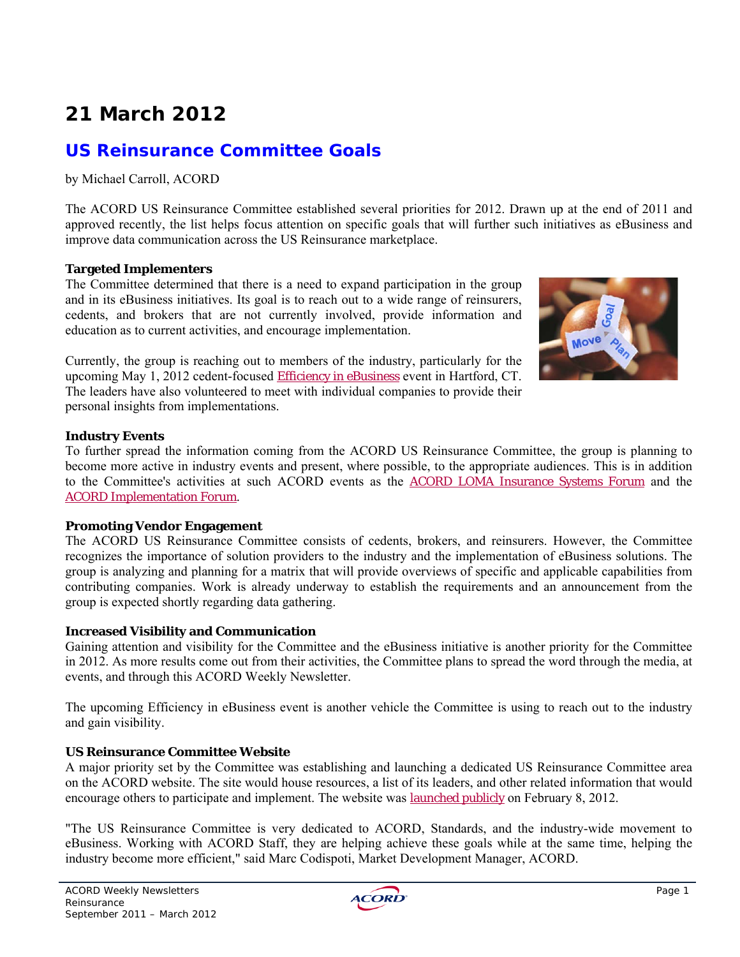# **21 March 2012**

## **US Reinsurance Committee Goals**

by Michael Carroll, ACORD

The ACORD US Reinsurance Committee established several priorities for 2012. Drawn up at the end of 2011 and approved recently, the list helps focus attention on specific goals that will further such initiatives as eBusiness and improve data communication across the US Reinsurance marketplace.

### **Targeted Implementers**

The Committee determined that there is a need to expand participation in the group and in its eBusiness initiatives. Its goal is to reach out to a wide range of reinsurers, cedents, and brokers that are not currently involved, provide information and education as to current activities, and encourage implementation.

Currently, the group is reaching out to members of the industry, particularly for the upcoming May 1, 2012 cedent-focused Efficiency in eBusiness event in Hartford, CT. The leaders have also volunteered to meet with individual companies to provide their personal insights from implementations.



#### **Industry Events**

To further spread the information coming from the ACORD US Reinsurance Committee, the group is planning to become more active in industry events and present, where possible, to the appropriate audiences. This is in addition to the Committee's activities at such ACORD events as the ACORD LOMA Insurance Systems Forum and the ACORD Implementation Forum.

#### **Promoting Vendor Engagement**

The ACORD US Reinsurance Committee consists of cedents, brokers, and reinsurers. However, the Committee recognizes the importance of solution providers to the industry and the implementation of eBusiness solutions. The group is analyzing and planning for a matrix that will provide overviews of specific and applicable capabilities from contributing companies. Work is already underway to establish the requirements and an announcement from the group is expected shortly regarding data gathering.

### **Increased Visibility and Communication**

Gaining attention and visibility for the Committee and the eBusiness initiative is another priority for the Committee in 2012. As more results come out from their activities, the Committee plans to spread the word through the media, at events, and through this ACORD Weekly Newsletter.

The upcoming Efficiency in eBusiness event is another vehicle the Committee is using to reach out to the industry and gain visibility.

#### **US Reinsurance Committee Website**

A major priority set by the Committee was establishing and launching a dedicated US Reinsurance Committee area on the ACORD website. The site would house resources, a list of its leaders, and other related information that would encourage others to participate and implement. The website was launched publicly on February 8, 2012.

"The US Reinsurance Committee is very dedicated to ACORD, Standards, and the industry-wide movement to eBusiness. Working with ACORD Staff, they are helping achieve these goals while at the same time, helping the industry become more efficient," said Marc Codispoti, Market Development Manager, ACORD.

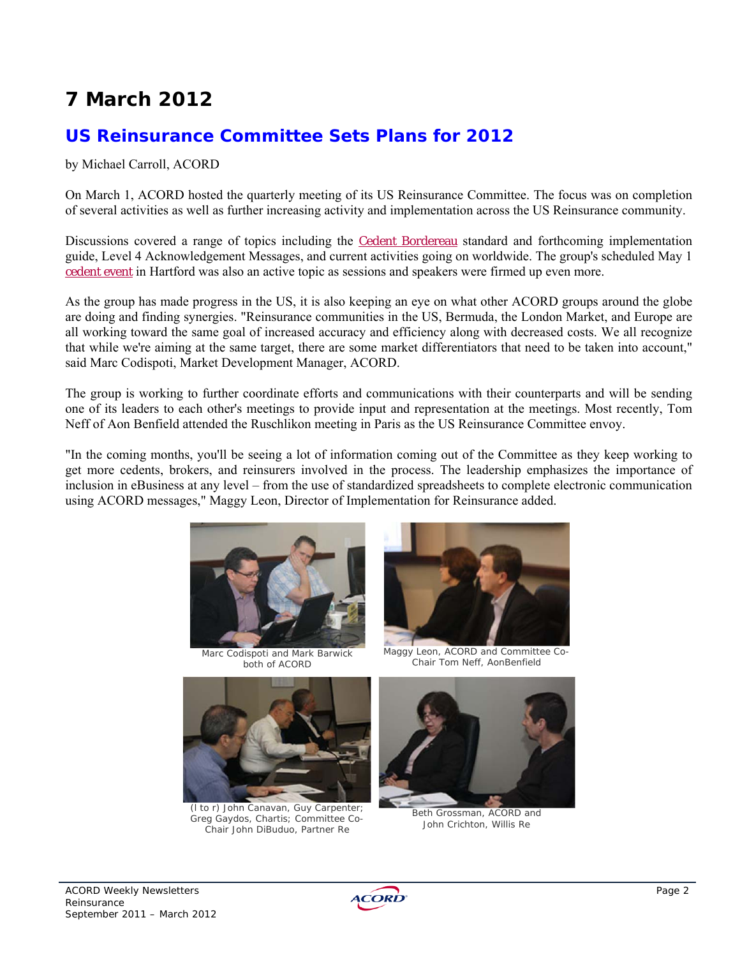# **7 March 2012**

## **US Reinsurance Committee Sets Plans for 2012**

#### by Michael Carroll, ACORD

On March 1, ACORD hosted the quarterly meeting of its US Reinsurance Committee. The focus was on completion of several activities as well as further increasing activity and implementation across the US Reinsurance community.

Discussions covered a range of topics including the Cedent Bordereau standard and forthcoming implementation guide, Level 4 Acknowledgement Messages, and current activities going on worldwide. The group's scheduled May 1 cedent event in Hartford was also an active topic as sessions and speakers were firmed up even more.

As the group has made progress in the US, it is also keeping an eye on what other ACORD groups around the globe are doing and finding synergies. "Reinsurance communities in the US, Bermuda, the London Market, and Europe are all working toward the same goal of increased accuracy and efficiency along with decreased costs. We all recognize that while we're aiming at the same target, there are some market differentiators that need to be taken into account," said Marc Codispoti, Market Development Manager, ACORD.

The group is working to further coordinate efforts and communications with their counterparts and will be sending one of its leaders to each other's meetings to provide input and representation at the meetings. Most recently, Tom Neff of Aon Benfield attended the Ruschlikon meeting in Paris as the US Reinsurance Committee envoy.

"In the coming months, you'll be seeing a lot of information coming out of the Committee as they keep working to get more cedents, brokers, and reinsurers involved in the process. The leadership emphasizes the importance of inclusion in eBusiness at any level – from the use of standardized spreadsheets to complete electronic communication using ACORD messages," Maggy Leon, Director of Implementation for Reinsurance added.



Marc Codispoti and Mark Barwick both of ACORD





(l to r) John Canavan, Guy Carpenter; Greg Gaydos, Chartis; Committee Co-Chair John DiBuduo, Partner Re

Maggy Leon, ACORD and Committee Co-Chair Tom Neff, AonBenfield



Beth Grossman, ACORD and John Crichton, Willis Re

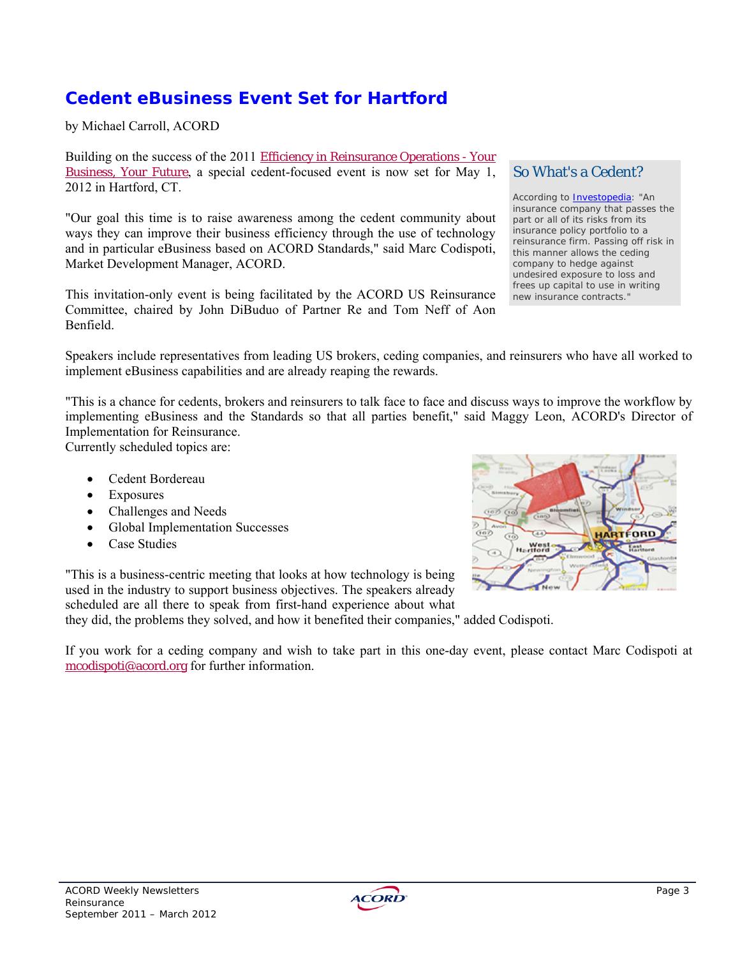## **Cedent eBusiness Event Set for Hartford**

by Michael Carroll, ACORD

Building on the success of the 2011 Efficiency in Reinsurance Operations - Your Business, Your Future, a special cedent-focused event is now set for May 1, 2012 in Hartford, CT.

"Our goal this time is to raise awareness among the cedent community about ways they can improve their business efficiency through the use of technology and in particular eBusiness based on ACORD Standards," said Marc Codispoti, Market Development Manager, ACORD.

This invitation-only event is being facilitated by the ACORD US Reinsurance Committee, chaired by John DiBuduo of Partner Re and Tom Neff of Aon Benfield.

### So What's a Cedent?

According to **Investopedia**: "An insurance company that passes the part or all of its risks from its insurance policy portfolio to a reinsurance firm. Passing off risk in this manner allows the ceding company to hedge against undesired exposure to loss and frees up capital to use in writing new insurance contracts."

Speakers include representatives from leading US brokers, ceding companies, and reinsurers who have all worked to implement eBusiness capabilities and are already reaping the rewards.

"This is a chance for cedents, brokers and reinsurers to talk face to face and discuss ways to improve the workflow by implementing eBusiness and the Standards so that all parties benefit," said Maggy Leon, ACORD's Director of Implementation for Reinsurance.

Currently scheduled topics are:

- Cedent Bordereau
- Exposures
- Challenges and Needs
- Global Implementation Successes
- Case Studies

"This is a business-centric meeting that looks at how technology is being used in the industry to support business objectives. The speakers already scheduled are all there to speak from first-hand experience about what

they did, the problems they solved, and how it benefited their companies," added Codispoti.

If you work for a ceding company and wish to take part in this one-day event, please contact Marc Codispoti at mcodispoti@acord.org for further information.



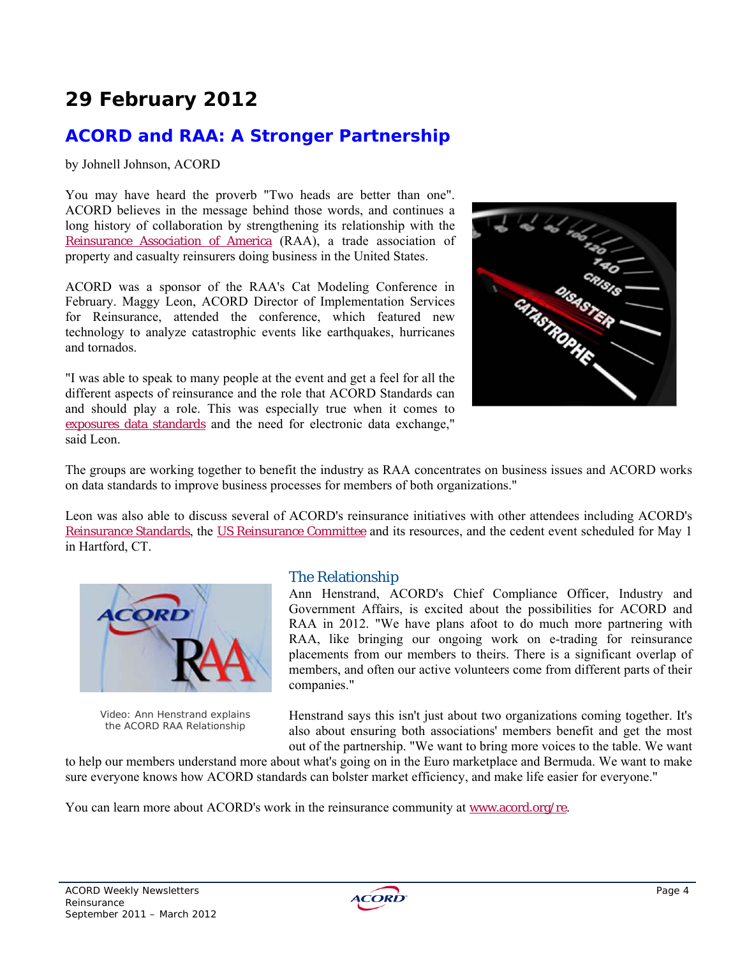## **ACORD and RAA: A Stronger Partnership**

by Johnell Johnson, ACORD

You may have heard the proverb "Two heads are better than one". ACORD believes in the message behind those words, and continues a long history of collaboration by strengthening its relationship with the Reinsurance Association of America (RAA), a trade association of property and casualty reinsurers doing business in the United States.

ACORD was a sponsor of the RAA's Cat Modeling Conference in February. Maggy Leon, ACORD Director of Implementation Services for Reinsurance, attended the conference, which featured new technology to analyze catastrophic events like earthquakes, hurricanes and tornados.

"I was able to speak to many people at the event and get a feel for all the different aspects of reinsurance and the role that ACORD Standards can and should play a role. This was especially true when it comes to exposures data standards and the need for electronic data exchange," said Leon.



The groups are working together to benefit the industry as RAA concentrates on business issues and ACORD works on data standards to improve business processes for members of both organizations."

Leon was also able to discuss several of ACORD's reinsurance initiatives with other attendees including ACORD's Reinsurance Standards, the US Reinsurance Committee and its resources, and the cedent event scheduled for May 1 in Hartford, CT.



Video: Ann Henstrand explains the ACORD RAA Relationship

### The Relationship

Ann Henstrand, ACORD's Chief Compliance Officer, Industry and Government Affairs, is excited about the possibilities for ACORD and RAA in 2012. "We have plans afoot to do much more partnering with RAA, like bringing our ongoing work on e-trading for reinsurance placements from our members to theirs. There is a significant overlap of members, and often our active volunteers come from different parts of their companies."

Henstrand says this isn't just about two organizations coming together. It's also about ensuring both associations' members benefit and get the most out of the partnership. "We want to bring more voices to the table. We want

to help our members understand more about what's going on in the Euro marketplace and Bermuda. We want to make sure everyone knows how ACORD standards can bolster market efficiency, and make life easier for everyone."

You can learn more about ACORD's work in the reinsurance community at www.acord.org/re.

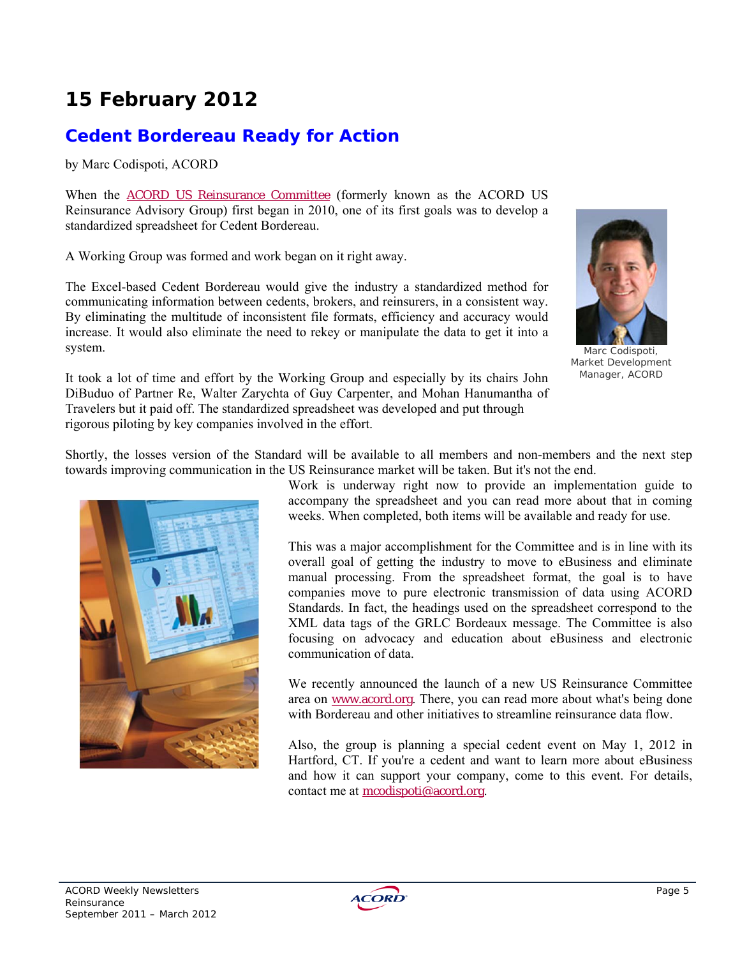## **Cedent Bordereau Ready for Action**

by Marc Codispoti, ACORD

When the ACORD US Reinsurance Committee (formerly known as the ACORD US Reinsurance Advisory Group) first began in 2010, one of its first goals was to develop a standardized spreadsheet for Cedent Bordereau.

A Working Group was formed and work began on it right away.

The Excel-based Cedent Bordereau would give the industry a standardized method for communicating information between cedents, brokers, and reinsurers, in a consistent way. By eliminating the multitude of inconsistent file formats, efficiency and accuracy would increase. It would also eliminate the need to rekey or manipulate the data to get it into a system.



Marc Codispoti, Market Development Manager, ACORD

It took a lot of time and effort by the Working Group and especially by its chairs John DiBuduo of Partner Re, Walter Zarychta of Guy Carpenter, and Mohan Hanumantha of Travelers but it paid off. The standardized spreadsheet was developed and put through rigorous piloting by key companies involved in the effort.

Shortly, the losses version of the Standard will be available to all members and non-members and the next step towards improving communication in the US Reinsurance market will be taken. But it's not the end.



Work is underway right now to provide an implementation guide to accompany the spreadsheet and you can read more about that in coming weeks. When completed, both items will be available and ready for use.

This was a major accomplishment for the Committee and is in line with its overall goal of getting the industry to move to eBusiness and eliminate manual processing. From the spreadsheet format, the goal is to have companies move to pure electronic transmission of data using ACORD Standards. In fact, the headings used on the spreadsheet correspond to the XML data tags of the GRLC Bordeaux message. The Committee is also focusing on advocacy and education about eBusiness and electronic communication of data.

We recently announced the launch of a new US Reinsurance Committee area on www.acord.org. There, you can read more about what's being done with Bordereau and other initiatives to streamline reinsurance data flow

Also, the group is planning a special cedent event on May 1, 2012 in Hartford, CT. If you're a cedent and want to learn more about eBusiness and how it can support your company, come to this event. For details, contact me at mcodispoti@acord.org.

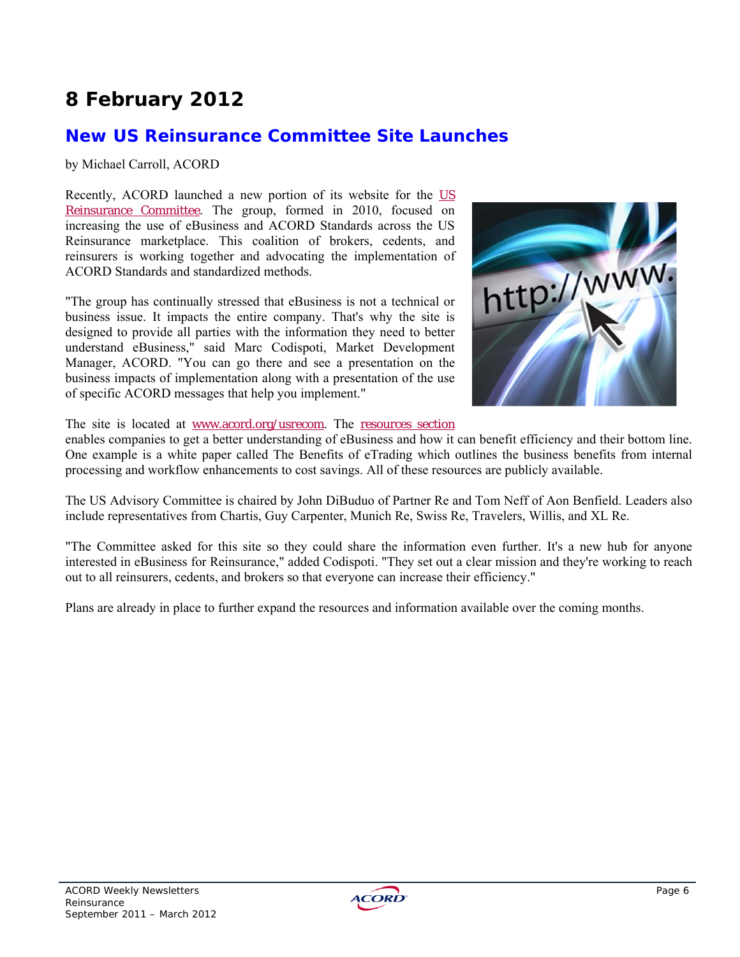## **New US Reinsurance Committee Site Launches**

by Michael Carroll, ACORD

Recently, ACORD launched a new portion of its website for the US Reinsurance Committee. The group, formed in 2010, focused on increasing the use of eBusiness and ACORD Standards across the US Reinsurance marketplace. This coalition of brokers, cedents, and reinsurers is working together and advocating the implementation of ACORD Standards and standardized methods.

"The group has continually stressed that eBusiness is not a technical or business issue. It impacts the entire company. That's why the site is designed to provide all parties with the information they need to better understand eBusiness," said Marc Codispoti, Market Development Manager, ACORD. "You can go there and see a presentation on the business impacts of implementation along with a presentation of the use of specific ACORD messages that help you implement."



The site is located at www.acord.org/usrecom. The resources section

enables companies to get a better understanding of eBusiness and how it can benefit efficiency and their bottom line. One example is a white paper called The Benefits of eTrading which outlines the business benefits from internal processing and workflow enhancements to cost savings. All of these resources are publicly available.

The US Advisory Committee is chaired by John DiBuduo of Partner Re and Tom Neff of Aon Benfield. Leaders also include representatives from Chartis, Guy Carpenter, Munich Re, Swiss Re, Travelers, Willis, and XL Re.

"The Committee asked for this site so they could share the information even further. It's a new hub for anyone interested in eBusiness for Reinsurance," added Codispoti. "They set out a clear mission and they're working to reach out to all reinsurers, cedents, and brokers so that everyone can increase their efficiency."

Plans are already in place to further expand the resources and information available over the coming months.

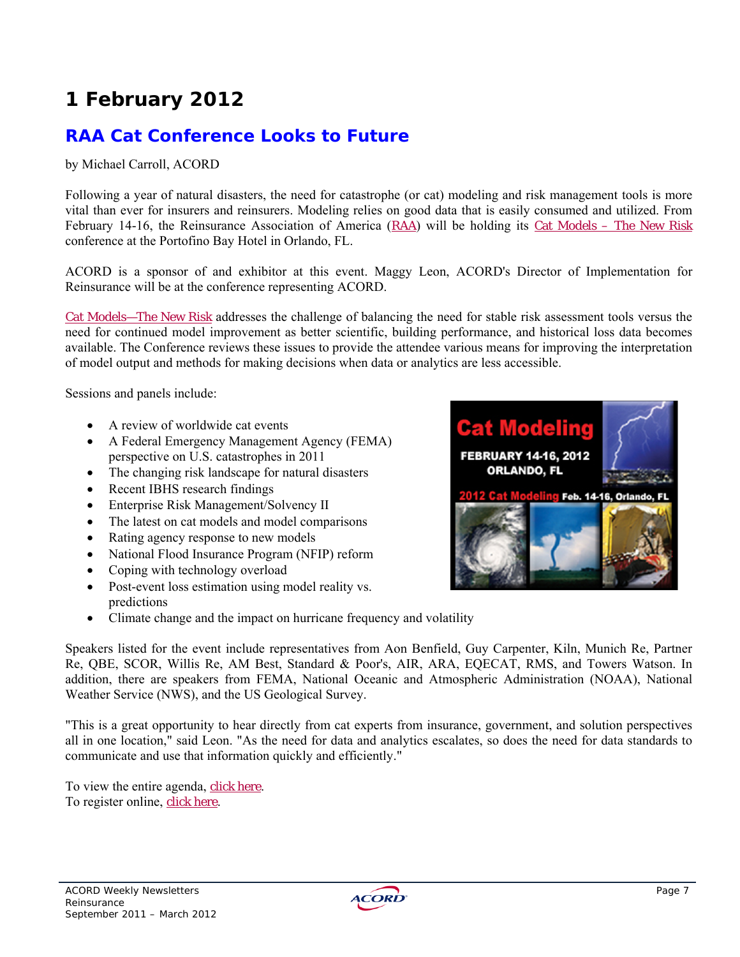# **RAA Cat Conference Looks to Future**

### by Michael Carroll, ACORD

Following a year of natural disasters, the need for catastrophe (or cat) modeling and risk management tools is more vital than ever for insurers and reinsurers. Modeling relies on good data that is easily consumed and utilized. From February 14-16, the Reinsurance Association of America (RAA) will be holding its Cat Models – The New Risk conference at the Portofino Bay Hotel in Orlando, FL.

ACORD is a sponsor of and exhibitor at this event. Maggy Leon, ACORD's Director of Implementation for Reinsurance will be at the conference representing ACORD.

Cat Models—The New Risk addresses the challenge of balancing the need for stable risk assessment tools versus the need for continued model improvement as better scientific, building performance, and historical loss data becomes available. The Conference reviews these issues to provide the attendee various means for improving the interpretation of model output and methods for making decisions when data or analytics are less accessible.

Sessions and panels include:

- A review of worldwide cat events
- A Federal Emergency Management Agency (FEMA) perspective on U.S. catastrophes in 2011
- The changing risk landscape for natural disasters
- Recent IBHS research findings
- Enterprise Risk Management/Solvency II
- The latest on cat models and model comparisons
- Rating agency response to new models
- National Flood Insurance Program (NFIP) reform
- Coping with technology overload
- Post-event loss estimation using model reality vs. predictions
- Climate change and the impact on hurricane frequency and volatility



Speakers listed for the event include representatives from Aon Benfield, Guy Carpenter, Kiln, Munich Re, Partner Re, QBE, SCOR, Willis Re, AM Best, Standard & Poor's, AIR, ARA, EQECAT, RMS, and Towers Watson. In addition, there are speakers from FEMA, National Oceanic and Atmospheric Administration (NOAA), National Weather Service (NWS), and the US Geological Survey.

"This is a great opportunity to hear directly from cat experts from insurance, government, and solution perspectives all in one location," said Leon. "As the need for data and analytics escalates, so does the need for data standards to communicate and use that information quickly and efficiently."

To view the entire agenda, click here. To register online, click here.

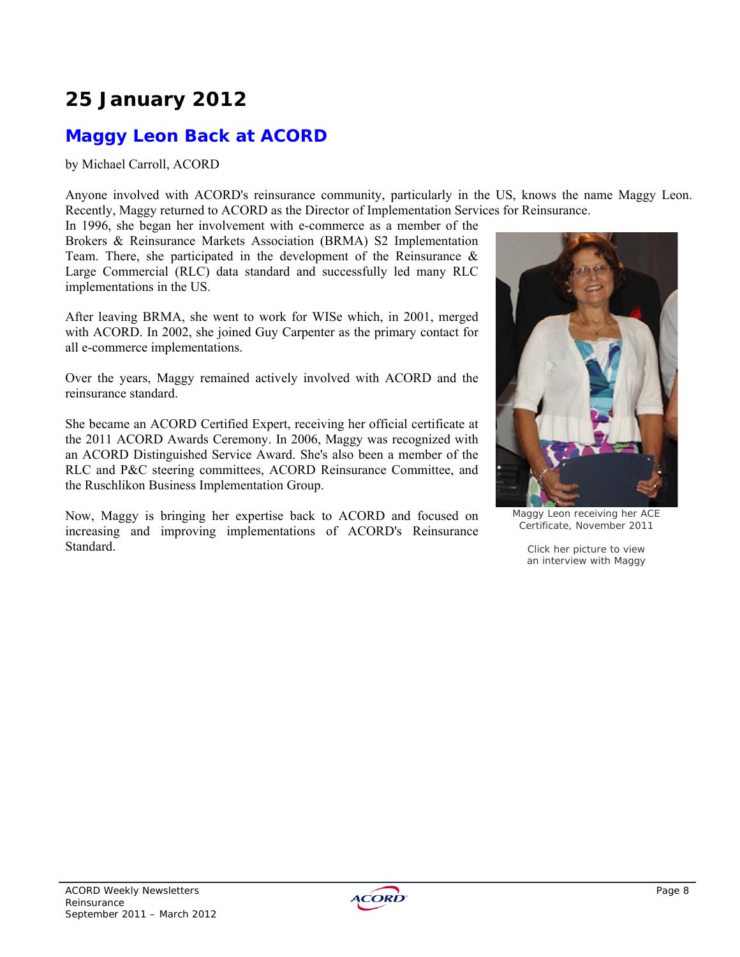# **25 January 2012**

# **Maggy Leon Back at ACORD**

by Michael Carroll, ACORD

Anyone involved with ACORD's reinsurance community, particularly in the US, knows the name Maggy Leon. Recently, Maggy returned to ACORD as the Director of Implementation Services for Reinsurance.

In 1996, she began her involvement with e-commerce as a member of the Brokers & Reinsurance Markets Association (BRMA) S2 Implementation Team. There, she participated in the development of the Reinsurance  $\&$ Large Commercial (RLC) data standard and successfully led many RLC implementations in the US.

After leaving BRMA, she went to work for WISe which, in 2001, merged with ACORD. In 2002, she joined Guy Carpenter as the primary contact for all e-commerce implementations.

Over the years, Maggy remained actively involved with ACORD and the reinsurance standard.

She became an ACORD Certified Expert, receiving her official certificate at the 2011 ACORD Awards Ceremony. In 2006, Maggy was recognized with an ACORD Distinguished Service Award. She's also been a member of the RLC and P&C steering committees, ACORD Reinsurance Committee, and the Ruschlikon Business Implementation Group.

Now, Maggy is bringing her expertise back to ACORD and focused on increasing and improving implementations of ACORD's Reinsurance Standard.



Maggy Leon receiving her ACE Certificate, November 2011

Click her picture to view an interview with Maggy

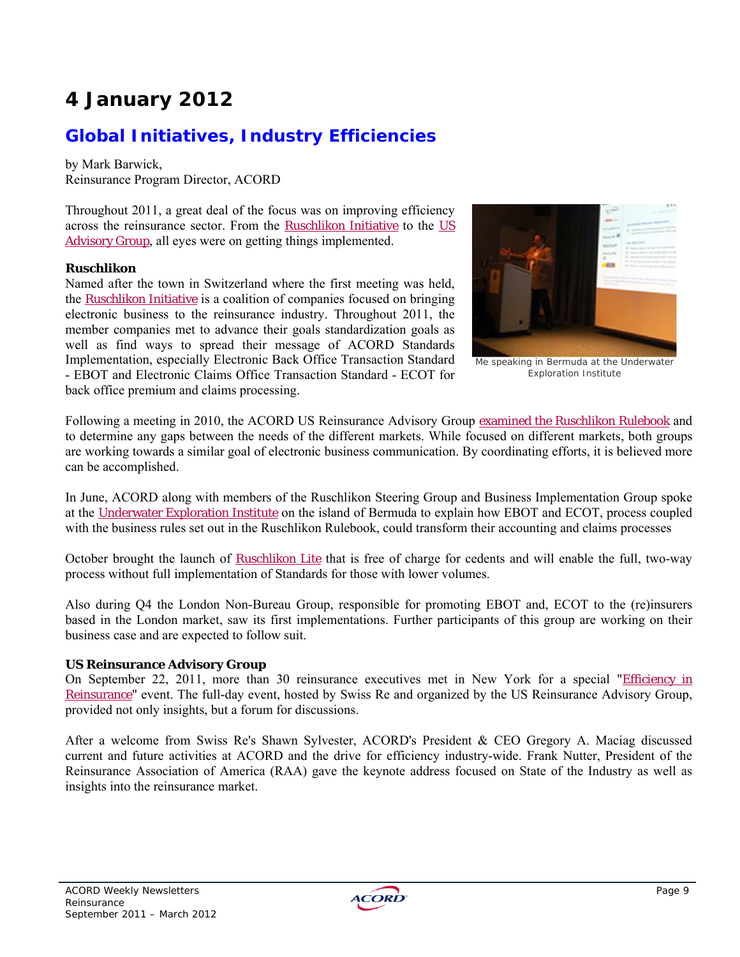# **4 January 2012**

# **Global Initiatives, Industry Efficiencies**

by Mark Barwick, Reinsurance Program Director, ACORD

Throughout 2011, a great deal of the focus was on improving efficiency across the reinsurance sector. From the Ruschlikon Initiative to the US Advisory Group, all eyes were on getting things implemented.

### **Ruschlikon**

Named after the town in Switzerland where the first meeting was held, the Ruschlikon Initiative is a coalition of companies focused on bringing electronic business to the reinsurance industry. Throughout 2011, the member companies met to advance their goals standardization goals as well as find ways to spread their message of ACORD Standards Implementation, especially Electronic Back Office Transaction Standard - EBOT and Electronic Claims Office Transaction Standard - ECOT for back office premium and claims processing.



Me speaking in Bermuda at the Underwater Exploration Institute

Following a meeting in 2010, the ACORD US Reinsurance Advisory Group examined the Ruschlikon Rulebook and to determine any gaps between the needs of the different markets. While focused on different markets, both groups are working towards a similar goal of electronic business communication. By coordinating efforts, it is believed more can be accomplished.

In June, ACORD along with members of the Ruschlikon Steering Group and Business Implementation Group spoke at the Underwater Exploration Institute on the island of Bermuda to explain how EBOT and ECOT, process coupled with the business rules set out in the Ruschlikon Rulebook, could transform their accounting and claims processes

October brought the launch of Ruschlikon Lite that is free of charge for cedents and will enable the full, two-way process without full implementation of Standards for those with lower volumes.

Also during Q4 the London Non-Bureau Group, responsible for promoting EBOT and, ECOT to the (re)insurers based in the London market, saw its first implementations. Further participants of this group are working on their business case and are expected to follow suit.

### **US Reinsurance Advisory Group**

On September 22, 2011, more than 30 reinsurance executives met in New York for a special "*Efficiency in* Reinsurance" event. The full-day event, hosted by Swiss Re and organized by the US Reinsurance Advisory Group, provided not only insights, but a forum for discussions.

After a welcome from Swiss Re's Shawn Sylvester, ACORD's President & CEO Gregory A. Maciag discussed current and future activities at ACORD and the drive for efficiency industry-wide. Frank Nutter, President of the Reinsurance Association of America (RAA) gave the keynote address focused on State of the Industry as well as insights into the reinsurance market.

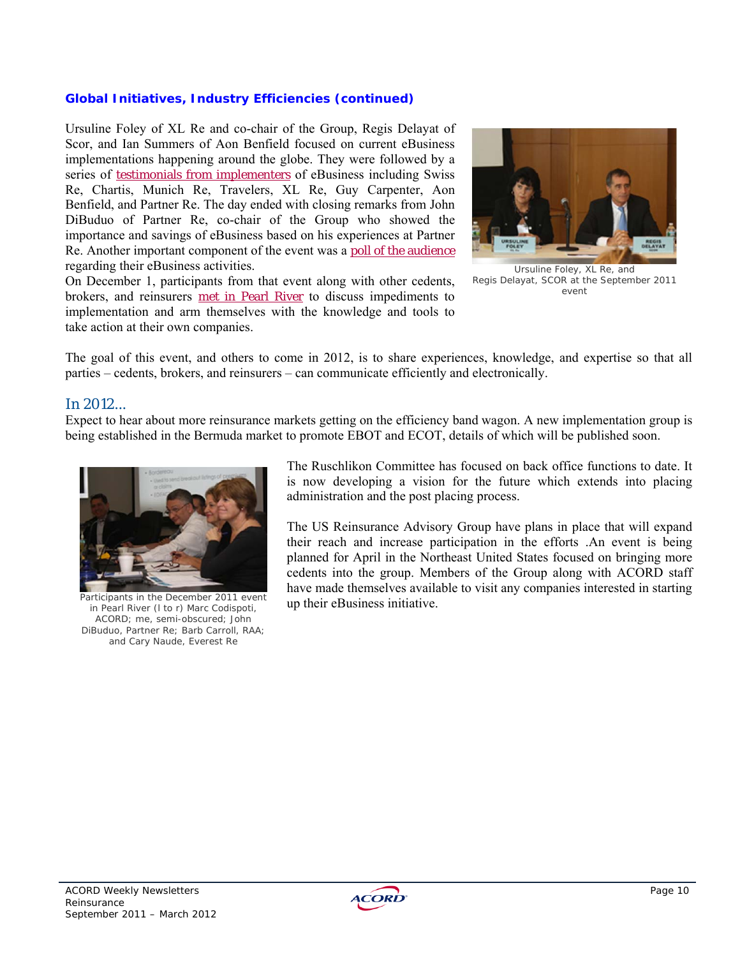### *Global Initiatives, Industry Efficiencies (continued)*

Ursuline Foley of XL Re and co-chair of the Group, Regis Delayat of Scor, and Ian Summers of Aon Benfield focused on current eBusiness implementations happening around the globe. They were followed by a series of testimonials from implementers of eBusiness including Swiss Re, Chartis, Munich Re, Travelers, XL Re, Guy Carpenter, Aon Benfield, and Partner Re. The day ended with closing remarks from John DiBuduo of Partner Re, co-chair of the Group who showed the importance and savings of eBusiness based on his experiences at Partner Re. Another important component of the event was a poll of the audience regarding their eBusiness activities.

On December 1, participants from that event along with other cedents, brokers, and reinsurers met in Pearl River to discuss impediments to implementation and arm themselves with the knowledge and tools to take action at their own companies.



Ursuline Foley, XL Re, and Regis Delayat, SCOR at the September 2011 event

The goal of this event, and others to come in 2012, is to share experiences, knowledge, and expertise so that all parties – cedents, brokers, and reinsurers – can communicate efficiently and electronically.

### In 2012...

Expect to hear about more reinsurance markets getting on the efficiency band wagon. A new implementation group is being established in the Bermuda market to promote EBOT and ECOT, details of which will be published soon.



Participants in the December 2011 event in Pearl River (l to r) Marc Codispoti, ACORD; me, semi-obscured; John DiBuduo, Partner Re; Barb Carroll, RAA; and Cary Naude, Everest Re

The Ruschlikon Committee has focused on back office functions to date. It is now developing a vision for the future which extends into placing administration and the post placing process.

The US Reinsurance Advisory Group have plans in place that will expand their reach and increase participation in the efforts .An event is being planned for April in the Northeast United States focused on bringing more cedents into the group. Members of the Group along with ACORD staff have made themselves available to visit any companies interested in starting up their eBusiness initiative.

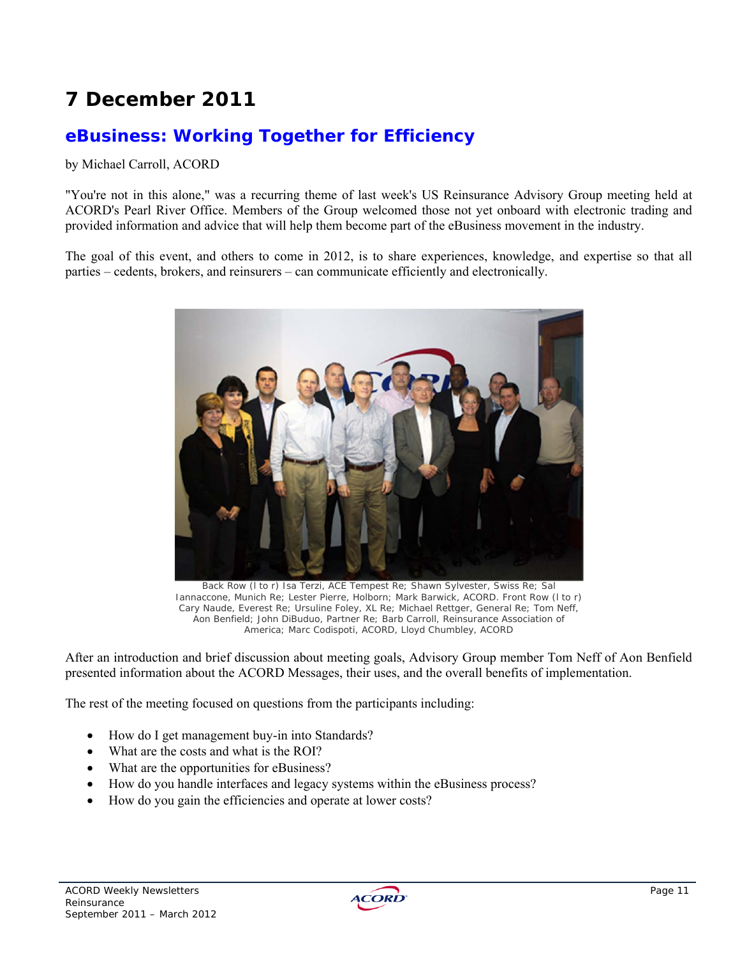# **7 December 2011**

# **eBusiness: Working Together for Efficiency**

### by Michael Carroll, ACORD

"You're not in this alone," was a recurring theme of last week's US Reinsurance Advisory Group meeting held at ACORD's Pearl River Office. Members of the Group welcomed those not yet onboard with electronic trading and provided information and advice that will help them become part of the eBusiness movement in the industry.

The goal of this event, and others to come in 2012, is to share experiences, knowledge, and expertise so that all parties – cedents, brokers, and reinsurers – can communicate efficiently and electronically.



Back Row (l to r) Isa Terzi, ACE Tempest Re; Shawn Sylvester, Swiss Re; Sal Iannaccone, Munich Re; Lester Pierre, Holborn; Mark Barwick, ACORD. Front Row (l to r) Cary Naude, Everest Re; Ursuline Foley, XL Re; Michael Rettger, General Re; Tom Neff, Aon Benfield; John DiBuduo, Partner Re; Barb Carroll, Reinsurance Association of America; Marc Codispoti, ACORD, Lloyd Chumbley, ACORD

After an introduction and brief discussion about meeting goals, Advisory Group member Tom Neff of Aon Benfield presented information about the ACORD Messages, their uses, and the overall benefits of implementation.

The rest of the meeting focused on questions from the participants including:

- How do I get management buy-in into Standards?
- What are the costs and what is the ROI?
- What are the opportunities for eBusiness?
- How do you handle interfaces and legacy systems within the eBusiness process?
- How do you gain the efficiencies and operate at lower costs?

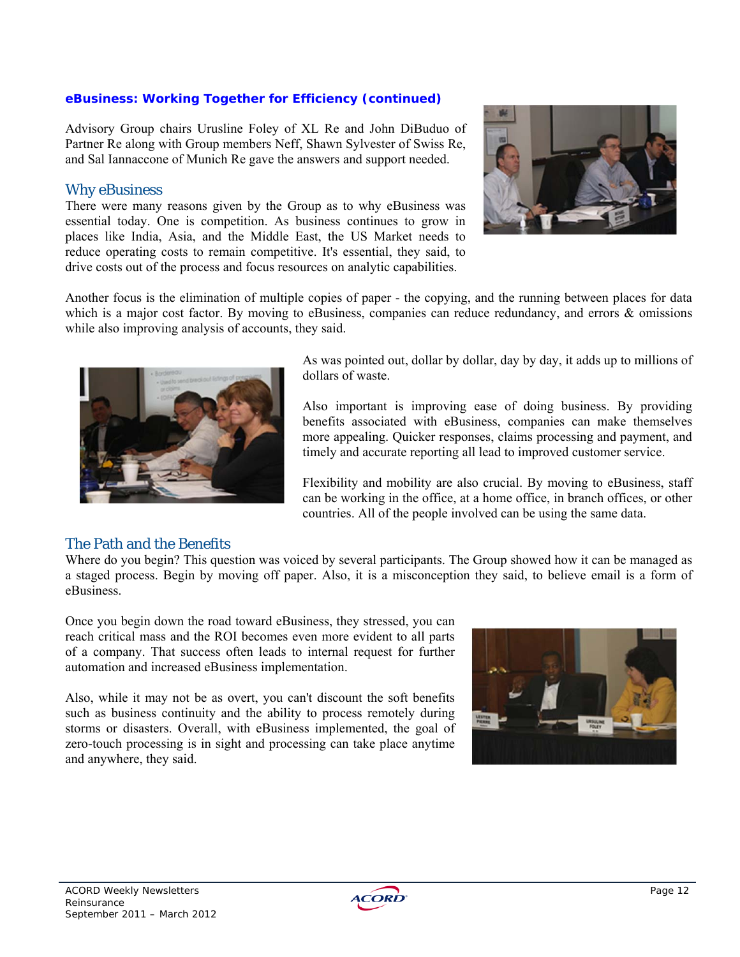### *eBusiness: Working Together for Efficiency (continued)*

Advisory Group chairs Urusline Foley of XL Re and John DiBuduo of Partner Re along with Group members Neff, Shawn Sylvester of Swiss Re, and Sal Iannaccone of Munich Re gave the answers and support needed.

### Why eBusiness

There were many reasons given by the Group as to why eBusiness was essential today. One is competition. As business continues to grow in places like India, Asia, and the Middle East, the US Market needs to reduce operating costs to remain competitive. It's essential, they said, to drive costs out of the process and focus resources on analytic capabilities.



Another focus is the elimination of multiple copies of paper - the copying, and the running between places for data which is a major cost factor. By moving to eBusiness, companies can reduce redundancy, and errors & omissions while also improving analysis of accounts, they said.



As was pointed out, dollar by dollar, day by day, it adds up to millions of dollars of waste.

Also important is improving ease of doing business. By providing benefits associated with eBusiness, companies can make themselves more appealing. Quicker responses, claims processing and payment, and timely and accurate reporting all lead to improved customer service.

Flexibility and mobility are also crucial. By moving to eBusiness, staff can be working in the office, at a home office, in branch offices, or other countries. All of the people involved can be using the same data.

### The Path and the Benefits

Where do you begin? This question was voiced by several participants. The Group showed how it can be managed as a staged process. Begin by moving off paper. Also, it is a misconception they said, to believe email is a form of eBusiness.

Once you begin down the road toward eBusiness, they stressed, you can reach critical mass and the ROI becomes even more evident to all parts of a company. That success often leads to internal request for further automation and increased eBusiness implementation.

Also, while it may not be as overt, you can't discount the soft benefits such as business continuity and the ability to process remotely during storms or disasters. Overall, with eBusiness implemented, the goal of zero-touch processing is in sight and processing can take place anytime and anywhere, they said.



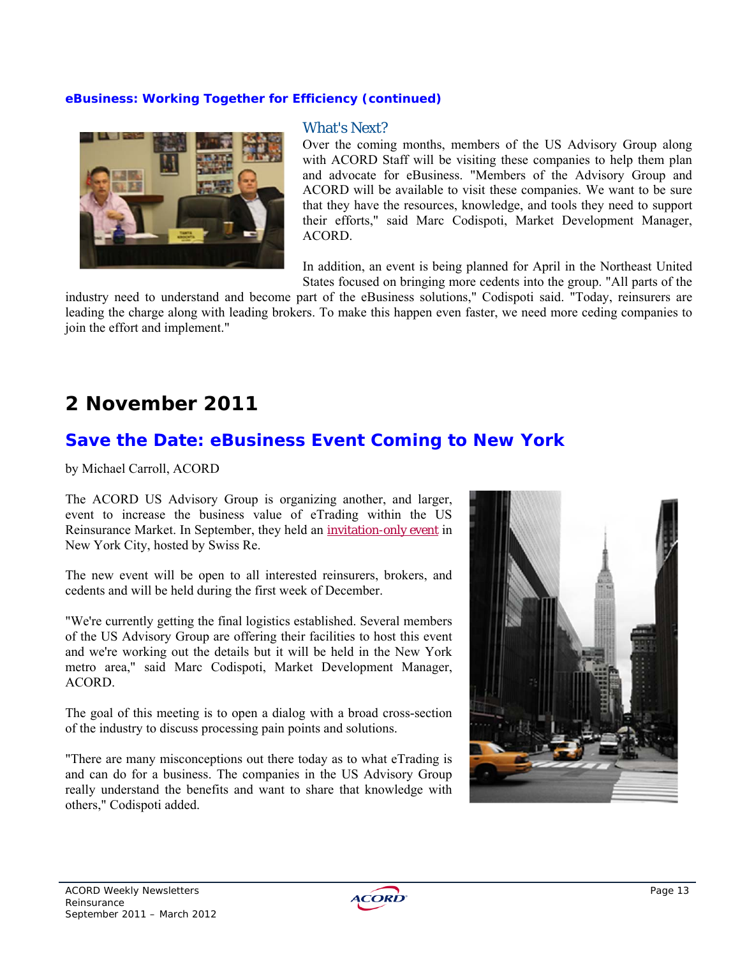### *eBusiness: Working Together for Efficiency (continued)*



#### What's Next?

Over the coming months, members of the US Advisory Group along with ACORD Staff will be visiting these companies to help them plan and advocate for eBusiness. "Members of the Advisory Group and ACORD will be available to visit these companies. We want to be sure that they have the resources, knowledge, and tools they need to support their efforts," said Marc Codispoti, Market Development Manager, ACORD.

In addition, an event is being planned for April in the Northeast United States focused on bringing more cedents into the group. "All parts of the

industry need to understand and become part of the eBusiness solutions," Codispoti said. "Today, reinsurers are leading the charge along with leading brokers. To make this happen even faster, we need more ceding companies to join the effort and implement."

# **2 November 2011**

## **Save the Date: eBusiness Event Coming to New York**

by Michael Carroll, ACORD

The ACORD US Advisory Group is organizing another, and larger, event to increase the business value of eTrading within the US Reinsurance Market. In September, they held an invitation-only event in New York City, hosted by Swiss Re.

The new event will be open to all interested reinsurers, brokers, and cedents and will be held during the first week of December.

"We're currently getting the final logistics established. Several members of the US Advisory Group are offering their facilities to host this event and we're working out the details but it will be held in the New York metro area," said Marc Codispoti, Market Development Manager, ACORD.

The goal of this meeting is to open a dialog with a broad cross-section of the industry to discuss processing pain points and solutions.

"There are many misconceptions out there today as to what eTrading is and can do for a business. The companies in the US Advisory Group really understand the benefits and want to share that knowledge with others," Codispoti added.



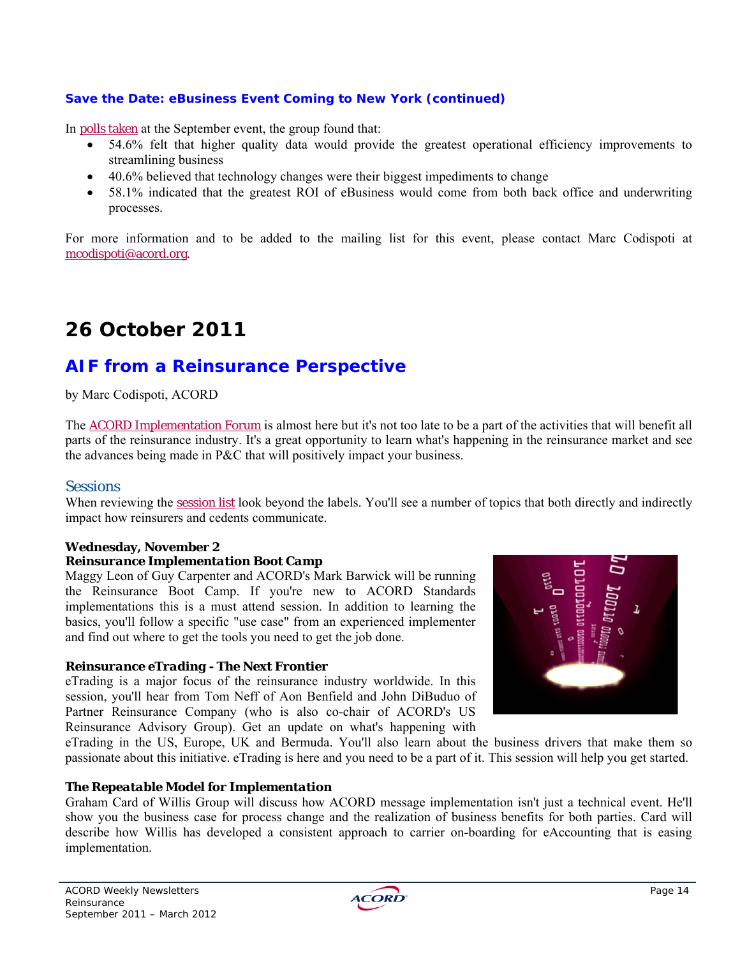### *Save the Date: eBusiness Event Coming to New York (continued)*

In polls taken at the September event, the group found that:

- 54.6% felt that higher quality data would provide the greatest operational efficiency improvements to streamlining business
- 40.6% believed that technology changes were their biggest impediments to change
- 58.1% indicated that the greatest ROI of eBusiness would come from both back office and underwriting processes.

For more information and to be added to the mailing list for this event, please contact Marc Codispoti at mcodispoti@acord.org.

# **26 October 2011**

## **AIF from a Reinsurance Perspective**

by Marc Codispoti, ACORD

The ACORD Implementation Forum is almost here but it's not too late to be a part of the activities that will benefit all parts of the reinsurance industry. It's a great opportunity to learn what's happening in the reinsurance market and see the advances being made in P&C that will positively impact your business.

### **Sessions**

When reviewing the session list look beyond the labels. You'll see a number of topics that both directly and indirectly impact how reinsurers and cedents communicate.

## **Wednesday, November 2**

### *Reinsurance Implementation Boot Camp*

Maggy Leon of Guy Carpenter and ACORD's Mark Barwick will be running the Reinsurance Boot Camp. If you're new to ACORD Standards implementations this is a must attend session. In addition to learning the basics, you'll follow a specific "use case" from an experienced implementer and find out where to get the tools you need to get the job done.

### *Reinsurance eTrading - The Next Frontier*

eTrading is a major focus of the reinsurance industry worldwide. In this session, you'll hear from Tom Neff of Aon Benfield and John DiBuduo of Partner Reinsurance Company (who is also co-chair of ACORD's US Reinsurance Advisory Group). Get an update on what's happening with



eTrading in the US, Europe, UK and Bermuda. You'll also learn about the business drivers that make them so passionate about this initiative. eTrading is here and you need to be a part of it. This session will help you get started.

### *The Repeatable Model for Implementation*

Graham Card of Willis Group will discuss how ACORD message implementation isn't just a technical event. He'll show you the business case for process change and the realization of business benefits for both parties. Card will describe how Willis has developed a consistent approach to carrier on-boarding for eAccounting that is easing implementation.

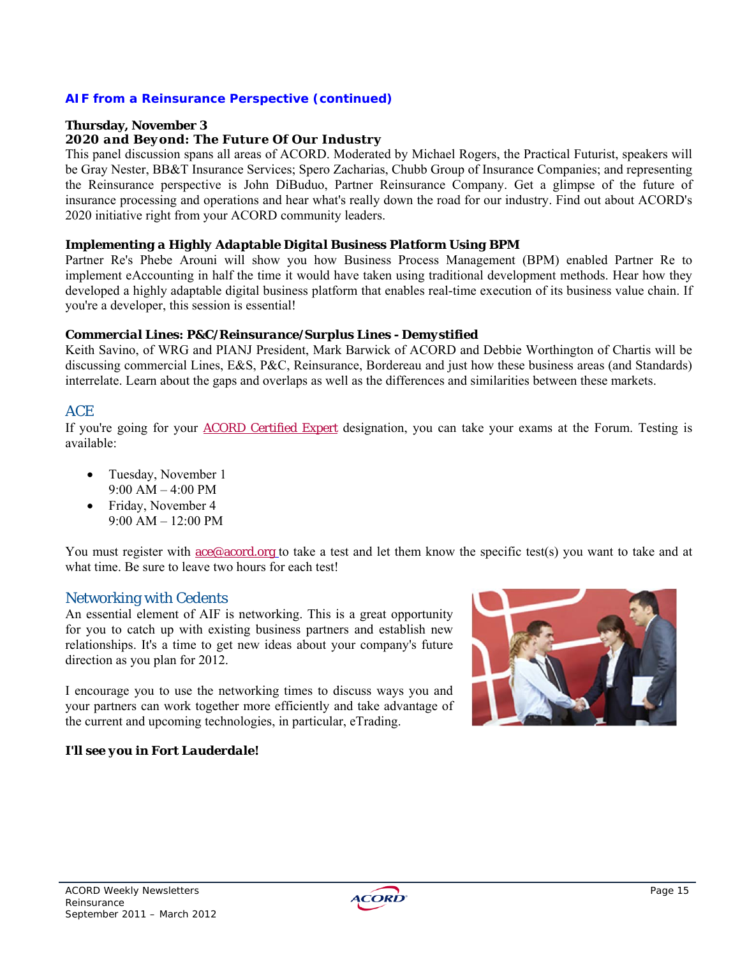### *AIF from a Reinsurance Perspective (continued)*

### **Thursday, November 3**

#### *2020 and Beyond: The Future Of Our Industry*

This panel discussion spans all areas of ACORD. Moderated by Michael Rogers, the Practical Futurist, speakers will be Gray Nester, BB&T Insurance Services; Spero Zacharias, Chubb Group of Insurance Companies; and representing the Reinsurance perspective is John DiBuduo, Partner Reinsurance Company. Get a glimpse of the future of insurance processing and operations and hear what's really down the road for our industry. Find out about ACORD's 2020 initiative right from your ACORD community leaders.

#### *Implementing a Highly Adaptable Digital Business Platform Using BPM*

Partner Re's Phebe Arouni will show you how Business Process Management (BPM) enabled Partner Re to implement eAccounting in half the time it would have taken using traditional development methods. Hear how they developed a highly adaptable digital business platform that enables real-time execution of its business value chain. If you're a developer, this session is essential!

#### *Commercial Lines: P&C/Reinsurance/Surplus Lines - Demystified*

Keith Savino, of WRG and PIANJ President, Mark Barwick of ACORD and Debbie Worthington of Chartis will be discussing commercial Lines, E&S, P&C, Reinsurance, Bordereau and just how these business areas (and Standards) interrelate. Learn about the gaps and overlaps as well as the differences and similarities between these markets.

### ACE

If you're going for your ACORD Certified Expert designation, you can take your exams at the Forum. Testing is available:

- Tuesday, November 1  $9.00$  AM  $-4.00$  PM
- Friday, November 4 9:00 AM – 12:00 PM

You must register with <u>ace@acord.org</u> to take a test and let them know the specific test(s) you want to take and at what time. Be sure to leave two hours for each test!

### Networking with Cedents

An essential element of AIF is networking. This is a great opportunity for you to catch up with existing business partners and establish new relationships. It's a time to get new ideas about your company's future direction as you plan for 2012.

I encourage you to use the networking times to discuss ways you and your partners can work together more efficiently and take advantage of the current and upcoming technologies, in particular, eTrading.

### *I'll see you in Fort Lauderdale!*



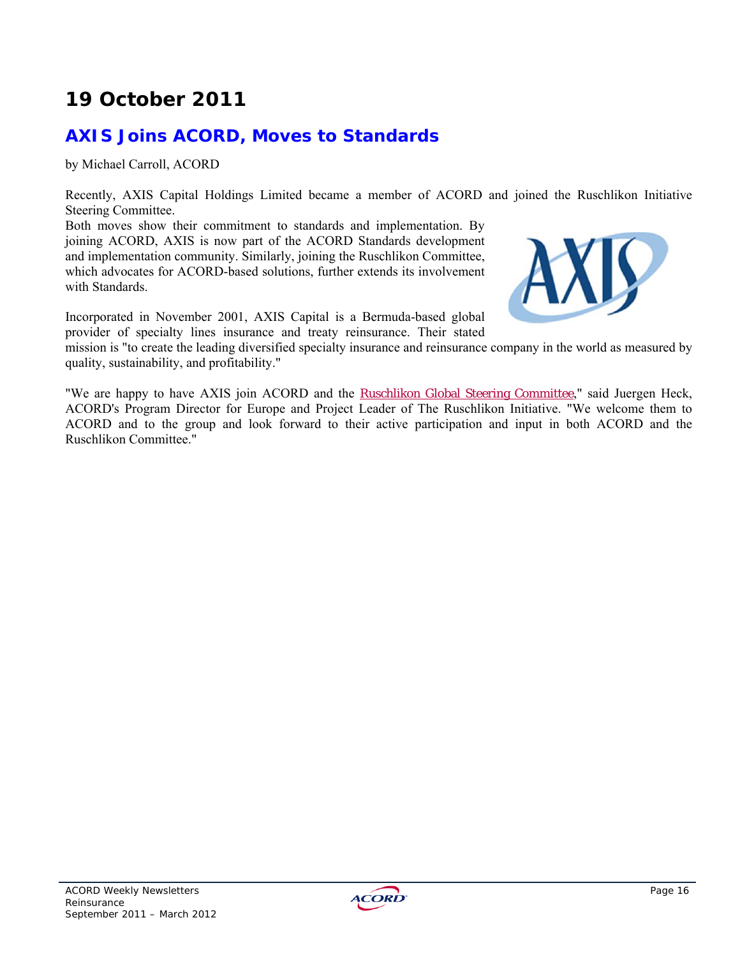# **19 October 2011**

# **AXIS Joins ACORD, Moves to Standards**

by Michael Carroll, ACORD

Recently, AXIS Capital Holdings Limited became a member of ACORD and joined the Ruschlikon Initiative Steering Committee.

Both moves show their commitment to standards and implementation. By joining ACORD, AXIS is now part of the ACORD Standards development and implementation community. Similarly, joining the Ruschlikon Committee, which advocates for ACORD-based solutions, further extends its involvement with Standards.



Incorporated in November 2001, AXIS Capital is a Bermuda-based global provider of specialty lines insurance and treaty reinsurance. Their stated

mission is "to create the leading diversified specialty insurance and reinsurance company in the world as measured by quality, sustainability, and profitability."

"We are happy to have AXIS join ACORD and the **Ruschlikon Global Steering Committee**," said Juergen Heck, ACORD's Program Director for Europe and Project Leader of The Ruschlikon Initiative. "We welcome them to ACORD and to the group and look forward to their active participation and input in both ACORD and the Ruschlikon Committee."

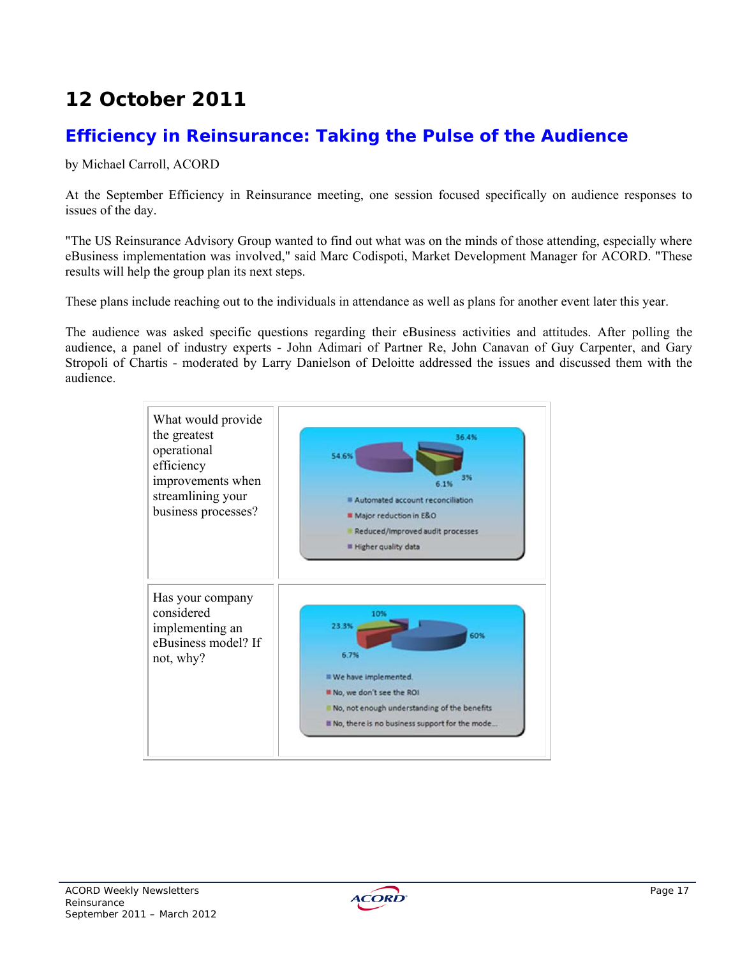# **12 October 2011**

## **Efficiency in Reinsurance: Taking the Pulse of the Audience**

by Michael Carroll, ACORD

At the September Efficiency in Reinsurance meeting, one session focused specifically on audience responses to issues of the day.

"The US Reinsurance Advisory Group wanted to find out what was on the minds of those attending, especially where eBusiness implementation was involved," said Marc Codispoti, Market Development Manager for ACORD. "These results will help the group plan its next steps.

These plans include reaching out to the individuals in attendance as well as plans for another event later this year.

The audience was asked specific questions regarding their eBusiness activities and attitudes. After polling the audience, a panel of industry experts - John Adimari of Partner Re, John Canavan of Guy Carpenter, and Gary Stropoli of Chartis - moderated by Larry Danielson of Deloitte addressed the issues and discussed them with the audience.



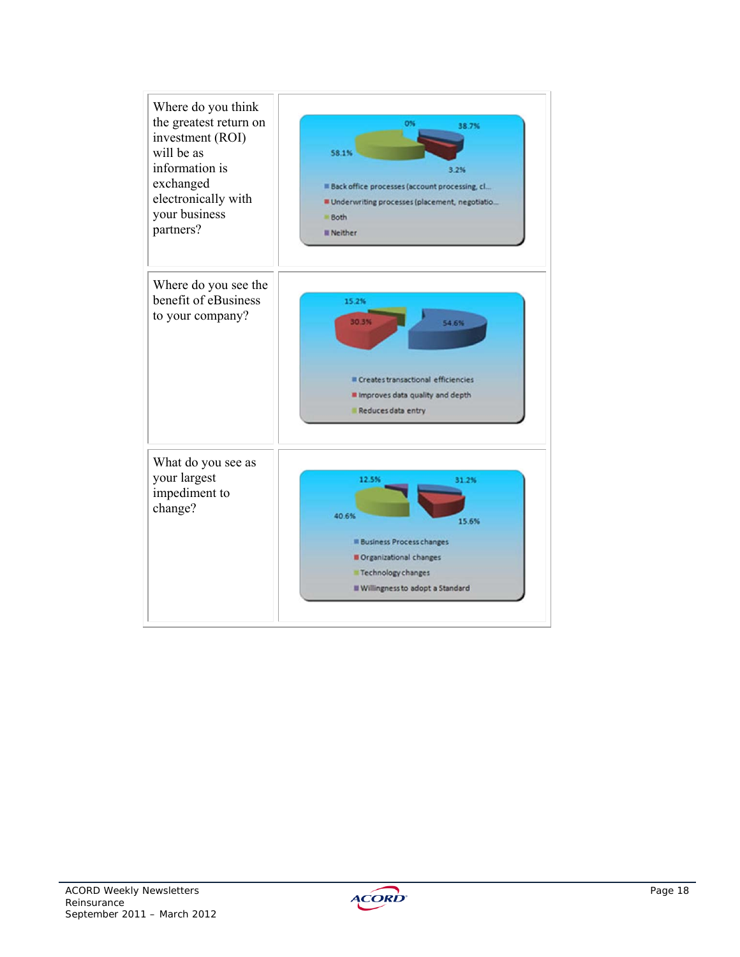

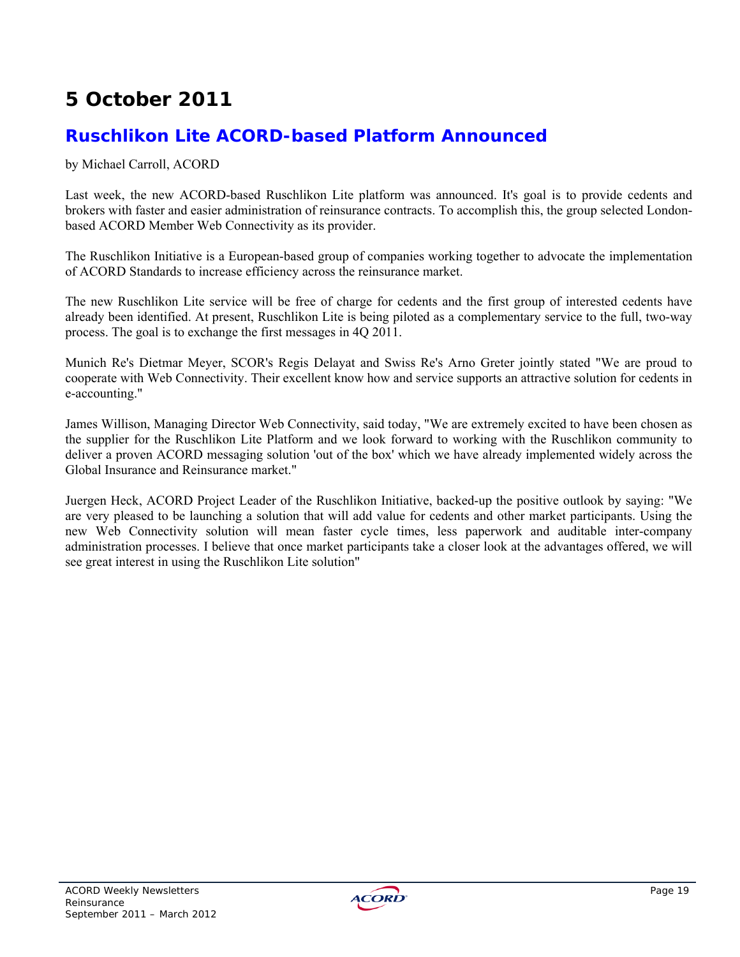# **5 October 2011**

## **Ruschlikon Lite ACORD-based Platform Announced**

by Michael Carroll, ACORD

Last week, the new ACORD-based Ruschlikon Lite platform was announced. It's goal is to provide cedents and brokers with faster and easier administration of reinsurance contracts. To accomplish this, the group selected Londonbased ACORD Member Web Connectivity as its provider.

The Ruschlikon Initiative is a European-based group of companies working together to advocate the implementation of ACORD Standards to increase efficiency across the reinsurance market.

The new Ruschlikon Lite service will be free of charge for cedents and the first group of interested cedents have already been identified. At present, Ruschlikon Lite is being piloted as a complementary service to the full, two-way process. The goal is to exchange the first messages in 4Q 2011.

Munich Re's Dietmar Meyer, SCOR's Regis Delayat and Swiss Re's Arno Greter jointly stated "We are proud to cooperate with Web Connectivity. Their excellent know how and service supports an attractive solution for cedents in e-accounting."

James Willison, Managing Director Web Connectivity, said today, "We are extremely excited to have been chosen as the supplier for the Ruschlikon Lite Platform and we look forward to working with the Ruschlikon community to deliver a proven ACORD messaging solution 'out of the box' which we have already implemented widely across the Global Insurance and Reinsurance market."

Juergen Heck, ACORD Project Leader of the Ruschlikon Initiative, backed-up the positive outlook by saying: "We are very pleased to be launching a solution that will add value for cedents and other market participants. Using the new Web Connectivity solution will mean faster cycle times, less paperwork and auditable inter-company administration processes. I believe that once market participants take a closer look at the advantages offered, we will see great interest in using the Ruschlikon Lite solution"

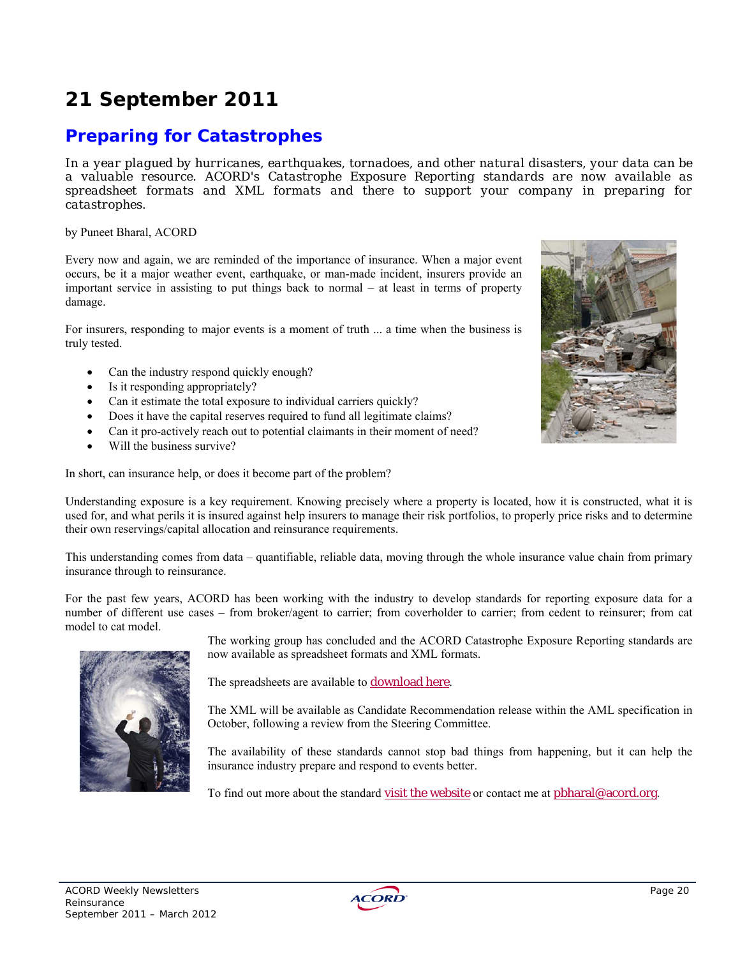# **21 September 2011**

## **Preparing for Catastrophes**

*In a year plagued by hurricanes, earthquakes, tornadoes, and other natural disasters, your data can be a valuable resource. ACORD's Catastrophe Exposure Reporting standards are now available as spreadsheet formats and XML formats and there to support your company in preparing for catastrophes.* 

#### by Puneet Bharal, ACORD

Every now and again, we are reminded of the importance of insurance. When a major event occurs, be it a major weather event, earthquake, or man-made incident, insurers provide an important service in assisting to put things back to normal – at least in terms of property damage.

For insurers, responding to major events is a moment of truth ... a time when the business is truly tested.

- Can the industry respond quickly enough?
- Is it responding appropriately?
- Can it estimate the total exposure to individual carriers quickly?
- Does it have the capital reserves required to fund all legitimate claims?
- Can it pro-actively reach out to potential claimants in their moment of need?
- Will the business survive?

In short, can insurance help, or does it become part of the problem?

Understanding exposure is a key requirement. Knowing precisely where a property is located, how it is constructed, what it is used for, and what perils it is insured against help insurers to manage their risk portfolios, to properly price risks and to determine their own reservings/capital allocation and reinsurance requirements.

This understanding comes from data – quantifiable, reliable data, moving through the whole insurance value chain from primary insurance through to reinsurance.

For the past few years, ACORD has been working with the industry to develop standards for reporting exposure data for a number of different use cases – from broker/agent to carrier; from coverholder to carrier; from cedent to reinsurer; from cat model to cat model.



The working group has concluded and the ACORD Catastrophe Exposure Reporting standards are now available as spreadsheet formats and XML formats.

The spreadsheets are available to download here.

The XML will be available as Candidate Recommendation release within the AML specification in October, following a review from the Steering Committee.

The availability of these standards cannot stop bad things from happening, but it can help the insurance industry prepare and respond to events better.

To find out more about the standard visit the website or contact me at pbharal@acord.org.